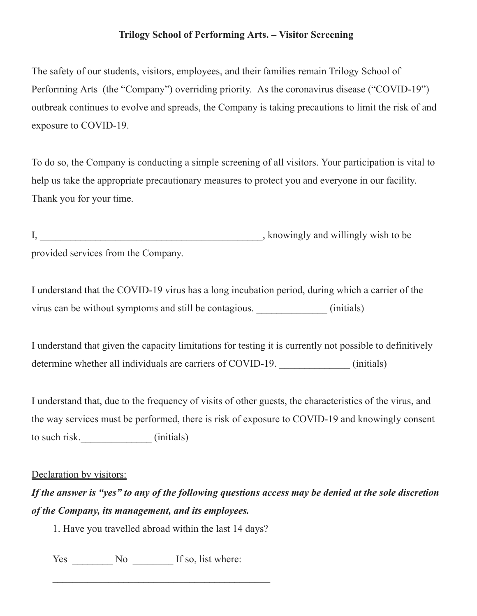## **Trilogy School of Performing Arts. – Visitor Screening**

The safety of our students, visitors, employees, and their families remain Trilogy School of Performing Arts (the "Company") overriding priority. As the coronavirus disease ("COVID-19") outbreak continues to evolve and spreads, the Company is taking precautions to limit the risk of and exposure to COVID-19.

To do so, the Company is conducting a simple screening of all visitors. Your participation is vital to help us take the appropriate precautionary measures to protect you and everyone in our facility. Thank you for your time.

|                                     | , knowingly and willingly wish to be |
|-------------------------------------|--------------------------------------|
| provided services from the Company. |                                      |

I understand that the COVID-19 virus has a long incubation period, during which a carrier of the virus can be without symptoms and still be contagious.  $\qquad \qquad$  (initials)

I understand that given the capacity limitations for testing it is currently not possible to definitively determine whether all individuals are carriers of COVID-19. (initials)

I understand that, due to the frequency of visits of other guests, the characteristics of the virus, and the way services must be performed, there is risk of exposure to COVID-19 and knowingly consent to such risk. (initials)

## Declaration by visitors:

## If the answer is "yes" to any of the following questions access may be denied at the sole discretion *of the Company, its management, and its employees.*

1. Have you travelled abroad within the last 14 days?

Yes \_\_\_\_\_\_\_\_\_ No \_\_\_\_\_\_\_\_\_ If so, list where: